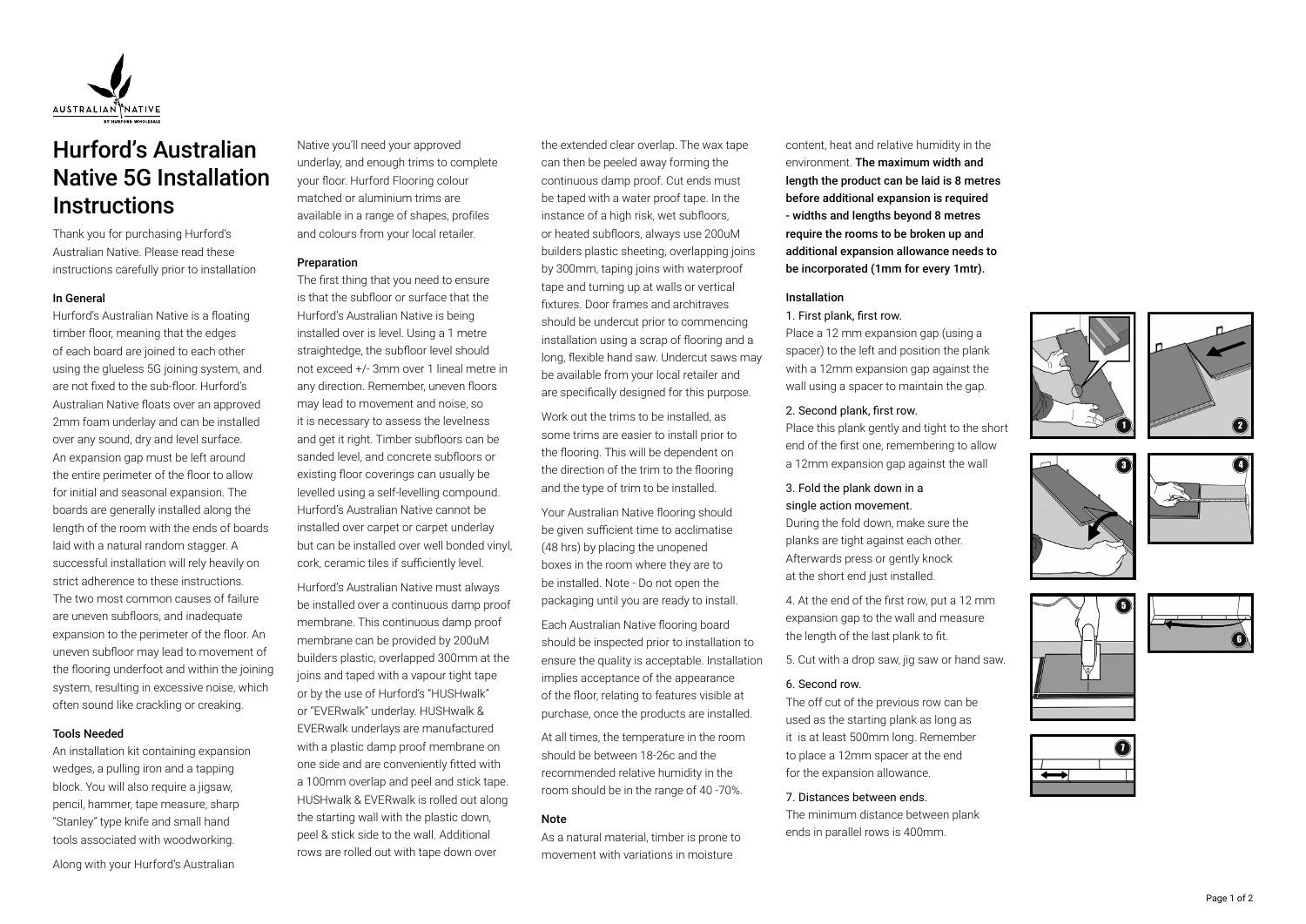

# Hurford's Australian Native 5G Installation **Instructions**

Thank you for purchasing Hurford's Australian Native. Please read these instructions carefully prior to installation

#### In General

Hurford's Australian Native is a floating timber floor, meaning that the edges of each board are joined to each other using the glueless 5G joining system, and are not fixed to the sub-floor. Hurford's Australian Native floats over an approved 2mm foam underlay and can be installed over any sound, dry and level surface. An expansion gap must be left around the entire perimeter of the floor to allow for initial and seasonal expansion. The boards are generally installed along the length of the room with the ends of boards laid with a natural random stagger. A successful installation will rely heavily on strict adherence to these instructions. The two most common causes of failure are uneven subfloors, and inadequate expansion to the perimeter of the floor. An uneven subfloor may lead to movement of the flooring underfoot and within the joining system, resulting in excessive noise, which often sound like crackling or creaking.

# Tools Needed

An installation kit containing expansion wedges, a pulling iron and a tapping block. You will also require a jigsaw, pencil, hammer, tape measure, sharp "Stanley" type knife and small hand tools associated with woodworking.

Along with your Hurford's Australian

Native you'll need your approved underlay, and enough trims to complete your floor. Hurford Flooring colour matched or aluminium trims are available in a range of shapes, profiles and colours from your local retailer.

## Preparation

The first thing that you need to ensure is that the subfloor or surface that the Hurford's Australian Native is being installed over is level. Using a 1 metre straightedge, the subfloor level should not exceed +/- 3mm over 1 lineal metre in any direction. Remember, uneven floors may lead to movement and noise, so it is necessary to assess the levelness and get it right. Timber subfloors can be sanded level, and concrete subfloors or existing floor coverings can usually be levelled using a self-levelling compound. Hurford's Australian Native cannot be installed over carpet or carpet underlay but can be installed over well bonded vinyl, cork, ceramic tiles if sufficiently level.

Hurford's Australian Native must always be installed over a continuous damp proof membrane. This continuous damp proof membrane can be provided by 200uM builders plastic, overlapped 300mm at the joins and taped with a vapour tight tape or by the use of Hurford's "HUSHwalk" or "EVERwalk" underlay. HUSHwalk & EVERwalk underlays are manufactured with a plastic damp proof membrane on one side and are conveniently fitted with a 100mm overlap and peel and stick tape. HUSHwalk & EVERwalk is rolled out along the starting wall with the plastic down, peel & stick side to the wall. Additional rows are rolled out with tape down over

the extended clear overlap. The wax tape can then be peeled away forming the continuous damp proof. Cut ends must be taped with a water proof tape. In the instance of a high risk, wet subfloors, or heated subfloors, always use 200uM builders plastic sheeting, overlapping joins by 300mm, taping joins with waterproof tape and turning up at walls or vertical fixtures. Door frames and architraves should be undercut prior to commencing installation using a scrap of flooring and a long, flexible hand saw. Undercut saws may be available from your local retailer and are specifically designed for this purpose.

Work out the trims to be installed, as some trims are easier to install prior to the flooring. This will be dependent on the direction of the trim to the flooring and the type of trim to be installed.

Your Australian Native flooring should be given sufficient time to acclimatise (48 hrs) by placing the unopened boxes in the room where they are to be installed. Note - Do not open the packaging until you are ready to install.

Each Australian Native flooring board should be inspected prior to installation to ensure the quality is acceptable. Installation implies acceptance of the appearance of the floor, relating to features visible at purchase, once the products are installed.

At all times, the temperature in the room should be between 18-26c and the recommended relative humidity in the room should be in the range of 40 -70%.

#### Note

As a natural material, timber is prone to movement with variations in moisture

content, heat and relative humidity in the environment. The maximum width and length the product can be laid is 8 metres before additional expansion is required - widths and lengths beyond 8 metres require the rooms to be broken up and additional expansion allowance needs to be incorporated (1mm for every 1mtr).

# Installation

# 1. First plank, first row.

Place a 12 mm expansion gap (using a spacer) to the left and position the plank with a 12mm expansion gap against the wall using a spacer to maintain the gap.

#### 2. Second plank, first row.

Place this plank gently and tight to the short end of the first one, remembering to allow a 12mm expansion gap against the wall

# 3. Fold the plank down in a single action movement.

During the fold down, make sure the planks are tight against each other. Afterwards press or gently knock at the short end just installed.

4. At the end of the first row, put a 12 mm expansion gap to the wall and measure the length of the last plank to fit.

5. Cut with a drop saw, jig saw or hand saw.

## 6. Second row.

The off cut of the previous row can be used as the starting plank as long as it is at least 500mm long. Remember to place a 12mm spacer at the end for the expansion allowance.

#### 7. Distances between ends.

The minimum distance between plank ends in parallel rows is 400mm.